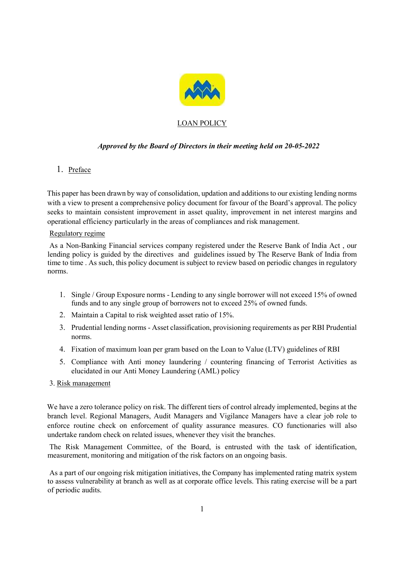

# LOAN POLICY

## Approved by the Board of Directors in their meeting held on 20-05-2022

# 1. Preface

This paper has been drawn by way of consolidation, updation and additions to our existing lending norms with a view to present a comprehensive policy document for favour of the Board's approval. The policy seeks to maintain consistent improvement in asset quality, improvement in net interest margins and operational efficiency particularly in the areas of compliances and risk management.

### Regulatory regime

 As a Non-Banking Financial services company registered under the Reserve Bank of India Act , our lending policy is guided by the directives and guidelines issued by The Reserve Bank of India from time to time . As such, this policy document is subject to review based on periodic changes in regulatory norms.

- 1. Single / Group Exposure norms Lending to any single borrower will not exceed 15% of owned funds and to any single group of borrowers not to exceed 25% of owned funds.
- 2. Maintain a Capital to risk weighted asset ratio of 15%.
- 3. Prudential lending norms Asset classification, provisioning requirements as per RBI Prudential norms.
- 4. Fixation of maximum loan per gram based on the Loan to Value (LTV) guidelines of RBI
- 5. Compliance with Anti money laundering / countering financing of Terrorist Activities as elucidated in our Anti Money Laundering (AML) policy

### 3. Risk management

We have a zero tolerance policy on risk. The different tiers of control already implemented, begins at the branch level. Regional Managers, Audit Managers and Vigilance Managers have a clear job role to enforce routine check on enforcement of quality assurance measures. CO functionaries will also undertake random check on related issues, whenever they visit the branches.

 The Risk Management Committee, of the Board, is entrusted with the task of identification, measurement, monitoring and mitigation of the risk factors on an ongoing basis.

 As a part of our ongoing risk mitigation initiatives, the Company has implemented rating matrix system to assess vulnerability at branch as well as at corporate office levels. This rating exercise will be a part of periodic audits.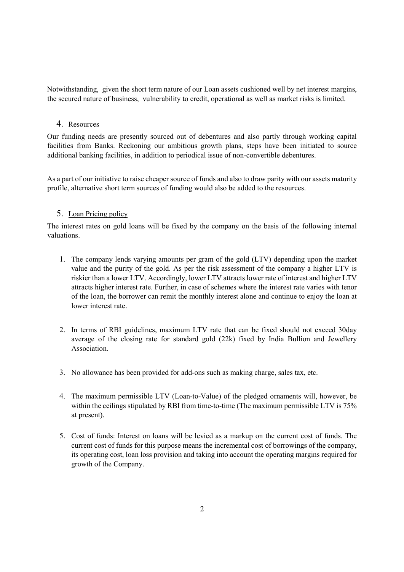Notwithstanding, given the short term nature of our Loan assets cushioned well by net interest margins, the secured nature of business, vulnerability to credit, operational as well as market risks is limited.

### 4. Resources

Our funding needs are presently sourced out of debentures and also partly through working capital facilities from Banks. Reckoning our ambitious growth plans, steps have been initiated to source additional banking facilities, in addition to periodical issue of non-convertible debentures.

As a part of our initiative to raise cheaper source of funds and also to draw parity with our assets maturity profile, alternative short term sources of funding would also be added to the resources.

### 5. Loan Pricing policy

The interest rates on gold loans will be fixed by the company on the basis of the following internal valuations.

- 1. The company lends varying amounts per gram of the gold (LTV) depending upon the market value and the purity of the gold. As per the risk assessment of the company a higher LTV is riskier than a lower LTV. Accordingly, lower LTV attracts lower rate of interest and higher LTV attracts higher interest rate. Further, in case of schemes where the interest rate varies with tenor of the loan, the borrower can remit the monthly interest alone and continue to enjoy the loan at lower interest rate.
- 2. In terms of RBI guidelines, maximum LTV rate that can be fixed should not exceed 30day average of the closing rate for standard gold (22k) fixed by India Bullion and Jewellery Association.
- 3. No allowance has been provided for add-ons such as making charge, sales tax, etc.
- 4. The maximum permissible LTV (Loan-to-Value) of the pledged ornaments will, however, be within the ceilings stipulated by RBI from time-to-time (The maximum permissible LTV is 75% at present).
- 5. Cost of funds: Interest on loans will be levied as a markup on the current cost of funds. The current cost of funds for this purpose means the incremental cost of borrowings of the company, its operating cost, loan loss provision and taking into account the operating margins required for growth of the Company.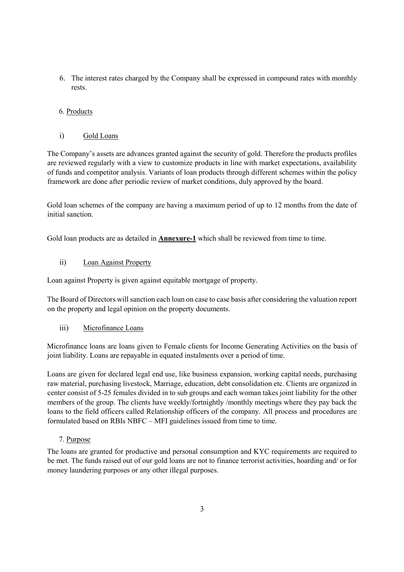6. The interest rates charged by the Company shall be expressed in compound rates with monthly rests.

## 6. Products

### i) Gold Loans

The Company's assets are advances granted against the security of gold. Therefore the products profiles are reviewed regularly with a view to customize products in line with market expectations, availability of funds and competitor analysis. Variants of loan products through different schemes within the policy framework are done after periodic review of market conditions, duly approved by the board.

Gold loan schemes of the company are having a maximum period of up to 12 months from the date of initial sanction.

Gold loan products are as detailed in **Annexure-1** which shall be reviewed from time to time.

### ii) Loan Against Property

Loan against Property is given against equitable mortgage of property.

The Board of Directors will sanction each loan on case to case basis after considering the valuation report on the property and legal opinion on the property documents.

## iii) Microfinance Loans

Microfinance loans are loans given to Female clients for Income Generating Activities on the basis of joint liability. Loans are repayable in equated instalments over a period of time.

Loans are given for declared legal end use, like business expansion, working capital needs, purchasing raw material, purchasing livestock, Marriage, education, debt consolidation etc. Clients are organized in center consist of 5-25 females divided in to sub groups and each woman takes joint liability for the other members of the group. The clients have weekly/fortnightly /monthly meetings where they pay back the loans to the field officers called Relationship officers of the company. All process and procedures are formulated based on RBIs NBFC – MFI guidelines issued from time to time.

### 7. Purpose

The loans are granted for productive and personal consumption and KYC requirements are required to be met. The funds raised out of our gold loans are not to finance terrorist activities, hoarding and/ or for money laundering purposes or any other illegal purposes.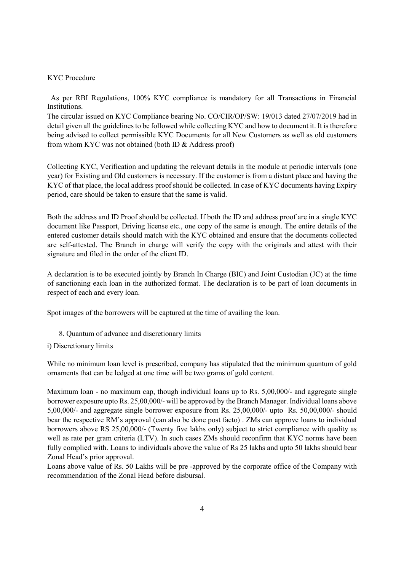### KYC Procedure

 As per RBI Regulations, 100% KYC compliance is mandatory for all Transactions in Financial Institutions.

The circular issued on KYC Compliance bearing No. CO/CIR/OP/SW: 19/013 dated 27/07/2019 had in detail given all the guidelines to be followed while collecting KYC and how to document it. It is therefore being advised to collect permissible KYC Documents for all New Customers as well as old customers from whom KYC was not obtained (both ID & Address proof)

Collecting KYC, Verification and updating the relevant details in the module at periodic intervals (one year) for Existing and Old customers is necessary. If the customer is from a distant place and having the KYC of that place, the local address proof should be collected. In case of KYC documents having Expiry period, care should be taken to ensure that the same is valid.

Both the address and ID Proof should be collected. If both the ID and address proof are in a single KYC document like Passport, Driving license etc., one copy of the same is enough. The entire details of the entered customer details should match with the KYC obtained and ensure that the documents collected are self-attested. The Branch in charge will verify the copy with the originals and attest with their signature and filed in the order of the client ID.

A declaration is to be executed jointly by Branch In Charge (BIC) and Joint Custodian (JC) at the time of sanctioning each loan in the authorized format. The declaration is to be part of loan documents in respect of each and every loan.

Spot images of the borrowers will be captured at the time of availing the loan.

### 8. Quantum of advance and discretionary limits

### i) Discretionary limits

While no minimum loan level is prescribed, company has stipulated that the minimum quantum of gold ornaments that can be ledged at one time will be two grams of gold content.

Maximum loan - no maximum cap, though individual loans up to Rs. 5,00,000/- and aggregate single borrower exposure upto Rs. 25,00,000/- will be approved by the Branch Manager. Individual loans above 5,00,000/- and aggregate single borrower exposure from Rs. 25,00,000/- upto Rs. 50,00,000/- should bear the respective RM's approval (can also be done post facto) . ZMs can approve loans to individual borrowers above RS 25,00,000/- (Twenty five lakhs only) subject to strict compliance with quality as well as rate per gram criteria (LTV). In such cases ZMs should reconfirm that KYC norms have been fully complied with. Loans to individuals above the value of Rs 25 lakhs and upto 50 lakhs should bear Zonal Head's prior approval.

Loans above value of Rs. 50 Lakhs will be pre -approved by the corporate office of the Company with recommendation of the Zonal Head before disbursal.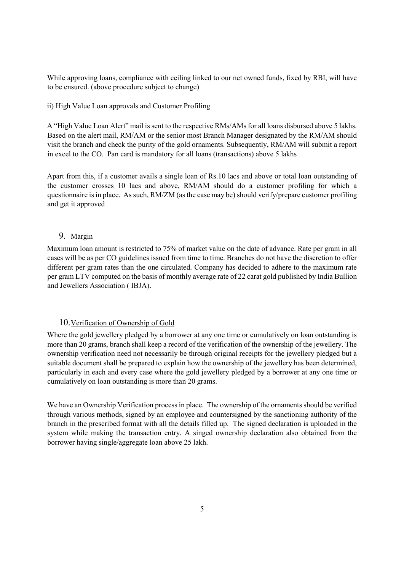While approving loans, compliance with ceiling linked to our net owned funds, fixed by RBI, will have to be ensured. (above procedure subject to change)

ii) High Value Loan approvals and Customer Profiling

A "High Value Loan Alert" mail is sent to the respective RMs/AMs for all loans disbursed above 5 lakhs. Based on the alert mail, RM/AM or the senior most Branch Manager designated by the RM/AM should visit the branch and check the purity of the gold ornaments. Subsequently, RM/AM will submit a report in excel to the CO. Pan card is mandatory for all loans (transactions) above 5 lakhs

Apart from this, if a customer avails a single loan of Rs.10 lacs and above or total loan outstanding of the customer crosses 10 lacs and above, RM/AM should do a customer profiling for which a questionnaire is in place. As such, RM/ZM (as the case may be) should verify/prepare customer profiling and get it approved

## 9. Margin

Maximum loan amount is restricted to 75% of market value on the date of advance. Rate per gram in all cases will be as per CO guidelines issued from time to time. Branches do not have the discretion to offer different per gram rates than the one circulated. Company has decided to adhere to the maximum rate per gram LTV computed on the basis of monthly average rate of 22 carat gold published by India Bullion and Jewellers Association ( IBJA).

### 10.Verification of Ownership of Gold

Where the gold jewellery pledged by a borrower at any one time or cumulatively on loan outstanding is more than 20 grams, branch shall keep a record of the verification of the ownership of the jewellery. The ownership verification need not necessarily be through original receipts for the jewellery pledged but a suitable document shall be prepared to explain how the ownership of the jewellery has been determined, particularly in each and every case where the gold jewellery pledged by a borrower at any one time or cumulatively on loan outstanding is more than 20 grams.

We have an Ownership Verification process in place. The ownership of the ornaments should be verified through various methods, signed by an employee and countersigned by the sanctioning authority of the branch in the prescribed format with all the details filled up. The signed declaration is uploaded in the system while making the transaction entry. A singed ownership declaration also obtained from the borrower having single/aggregate loan above 25 lakh.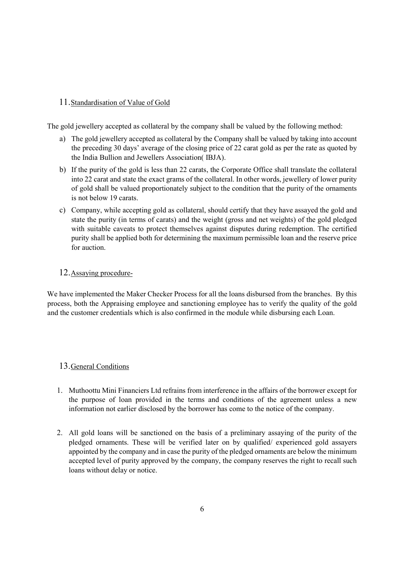## 11.Standardisation of Value of Gold

The gold jewellery accepted as collateral by the company shall be valued by the following method:

- a) The gold jewellery accepted as collateral by the Company shall be valued by taking into account the preceding 30 days' average of the closing price of 22 carat gold as per the rate as quoted by the India Bullion and Jewellers Association( IBJA).
- b) If the purity of the gold is less than 22 carats, the Corporate Office shall translate the collateral into 22 carat and state the exact grams of the collateral. In other words, jewellery of lower purity of gold shall be valued proportionately subject to the condition that the purity of the ornaments is not below 19 carats.
- c) Company, while accepting gold as collateral, should certify that they have assayed the gold and state the purity (in terms of carats) and the weight (gross and net weights) of the gold pledged with suitable caveats to protect themselves against disputes during redemption. The certified purity shall be applied both for determining the maximum permissible loan and the reserve price for auction.

## 12.Assaying procedure-

We have implemented the Maker Checker Process for all the loans disbursed from the branches. By this process, both the Appraising employee and sanctioning employee has to verify the quality of the gold and the customer credentials which is also confirmed in the module while disbursing each Loan.

## 13.General Conditions

- 1. Muthoottu Mini Financiers Ltd refrains from interference in the affairs of the borrower except for the purpose of loan provided in the terms and conditions of the agreement unless a new information not earlier disclosed by the borrower has come to the notice of the company.
- 2. All gold loans will be sanctioned on the basis of a preliminary assaying of the purity of the pledged ornaments. These will be verified later on by qualified/ experienced gold assayers appointed by the company and in case the purity of the pledged ornaments are below the minimum accepted level of purity approved by the company, the company reserves the right to recall such loans without delay or notice.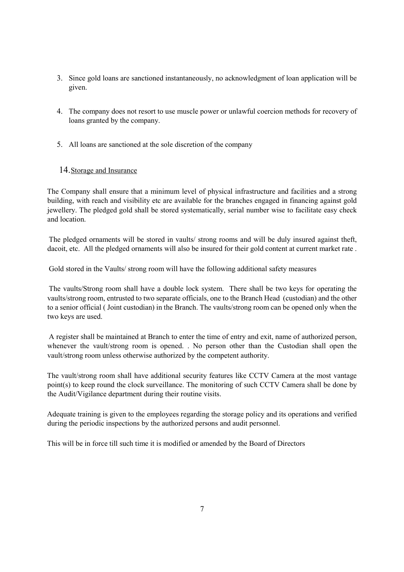- 3. Since gold loans are sanctioned instantaneously, no acknowledgment of loan application will be given.
- 4. The company does not resort to use muscle power or unlawful coercion methods for recovery of loans granted by the company.
- 5. All loans are sanctioned at the sole discretion of the company

### 14.Storage and Insurance

The Company shall ensure that a minimum level of physical infrastructure and facilities and a strong building, with reach and visibility etc are available for the branches engaged in financing against gold jewellery. The pledged gold shall be stored systematically, serial number wise to facilitate easy check and location.

 The pledged ornaments will be stored in vaults/ strong rooms and will be duly insured against theft, dacoit, etc. All the pledged ornaments will also be insured for their gold content at current market rate .

Gold stored in the Vaults/ strong room will have the following additional safety measures

 The vaults/Strong room shall have a double lock system. There shall be two keys for operating the vaults/strong room, entrusted to two separate officials, one to the Branch Head (custodian) and the other to a senior official ( Joint custodian) in the Branch. The vaults/strong room can be opened only when the two keys are used.

 A register shall be maintained at Branch to enter the time of entry and exit, name of authorized person, whenever the vault/strong room is opened. . No person other than the Custodian shall open the vault/strong room unless otherwise authorized by the competent authority.

The vault/strong room shall have additional security features like CCTV Camera at the most vantage point(s) to keep round the clock surveillance. The monitoring of such CCTV Camera shall be done by the Audit/Vigilance department during their routine visits.

Adequate training is given to the employees regarding the storage policy and its operations and verified during the periodic inspections by the authorized persons and audit personnel.

This will be in force till such time it is modified or amended by the Board of Directors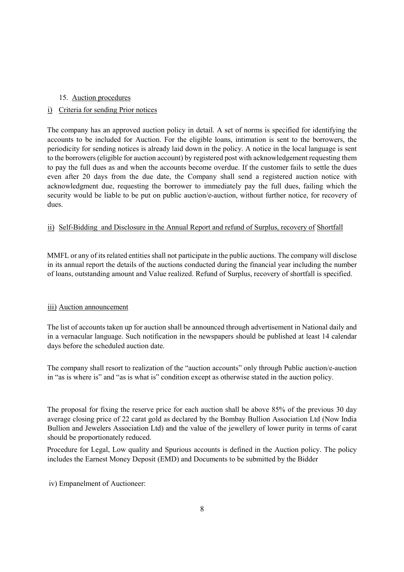### 15. Auction procedures

### i) Criteria for sending Prior notices

The company has an approved auction policy in detail. A set of norms is specified for identifying the accounts to be included for Auction. For the eligible loans, intimation is sent to the borrowers, the periodicity for sending notices is already laid down in the policy. A notice in the local language is sent to the borrowers (eligible for auction account) by registered post with acknowledgement requesting them to pay the full dues as and when the accounts become overdue. If the customer fails to settle the dues even after 20 days from the due date, the Company shall send a registered auction notice with acknowledgment due, requesting the borrower to immediately pay the full dues, failing which the security would be liable to be put on public auction/e-auction, without further notice, for recovery of dues.

### ii) Self-Bidding and Disclosure in the Annual Report and refund of Surplus, recovery of Shortfall

MMFL or any of its related entities shall not participate in the public auctions. The company will disclose in its annual report the details of the auctions conducted during the financial year including the number of loans, outstanding amount and Value realized. Refund of Surplus, recovery of shortfall is specified.

### iii) Auction announcement

The list of accounts taken up for auction shall be announced through advertisement in National daily and in a vernacular language. Such notification in the newspapers should be published at least 14 calendar days before the scheduled auction date.

The company shall resort to realization of the "auction accounts" only through Public auction/e-auction in "as is where is" and "as is what is" condition except as otherwise stated in the auction policy.

The proposal for fixing the reserve price for each auction shall be above 85% of the previous 30 day average closing price of 22 carat gold as declared by the Bombay Bullion Association Ltd (Now India Bullion and Jewelers Association Ltd) and the value of the jewellery of lower purity in terms of carat should be proportionately reduced.

Procedure for Legal, Low quality and Spurious accounts is defined in the Auction policy. The policy includes the Earnest Money Deposit (EMD) and Documents to be submitted by the Bidder

### iv) Empanelment of Auctioneer: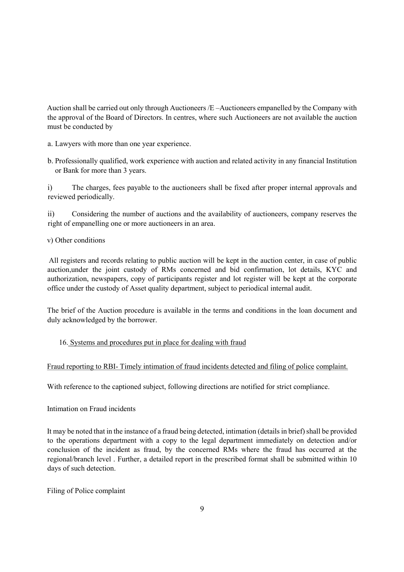Auction shall be carried out only through Auctioneers /E –Auctioneers empanelled by the Company with the approval of the Board of Directors. In centres, where such Auctioneers are not available the auction must be conducted by

a. Lawyers with more than one year experience.

b. Professionally qualified, work experience with auction and related activity in any financial Institution or Bank for more than 3 years.

i) The charges, fees payable to the auctioneers shall be fixed after proper internal approvals and reviewed periodically.

ii) Considering the number of auctions and the availability of auctioneers, company reserves the right of empanelling one or more auctioneers in an area.

v) Other conditions

 All registers and records relating to public auction will be kept in the auction center, in case of public auction,under the joint custody of RMs concerned and bid confirmation, lot details, KYC and authorization, newspapers, copy of participants register and lot register will be kept at the corporate office under the custody of Asset quality department, subject to periodical internal audit.

The brief of the Auction procedure is available in the terms and conditions in the loan document and duly acknowledged by the borrower.

## 16. Systems and procedures put in place for dealing with fraud

### Fraud reporting to RBI- Timely intimation of fraud incidents detected and filing of police complaint.

With reference to the captioned subject, following directions are notified for strict compliance.

Intimation on Fraud incidents

It may be noted that in the instance of a fraud being detected, intimation (details in brief) shall be provided to the operations department with a copy to the legal department immediately on detection and/or conclusion of the incident as fraud, by the concerned RMs where the fraud has occurred at the regional/branch level . Further, a detailed report in the prescribed format shall be submitted within 10 days of such detection.

### Filing of Police complaint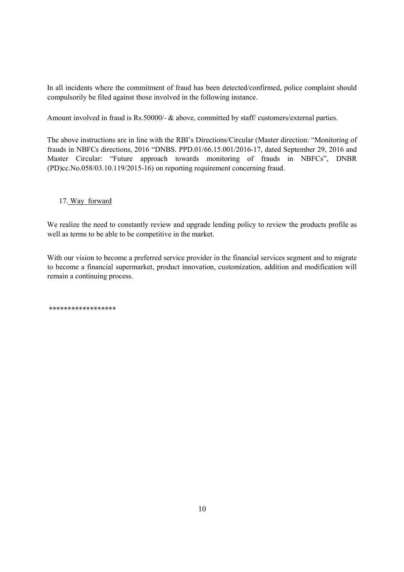In all incidents where the commitment of fraud has been detected/confirmed, police complaint should compulsorily be filed against those involved in the following instance.

Amount involved in fraud is Rs.50000/- & above, committed by staff/ customers/external parties.

The above instructions are in line with the RBI's Directions/Circular (Master direction: "Monitoring of frauds in NBFCs directions, 2016 "DNBS. PPD.01/66.15.001/2016-17, dated September 29, 2016 and Master Circular: "Future approach towards monitoring of frauds in NBFCs", DNBR (PD)cc.No.058/03.10.119/2015-16) on reporting requirement concerning fraud.

#### 17. Way forward

We realize the need to constantly review and upgrade lending policy to review the products profile as well as terms to be able to be competitive in the market.

With our vision to become a preferred service provider in the financial services segment and to migrate to become a financial supermarket, product innovation, customization, addition and modification will remain a continuing process.

\*\*\*\*\*\*\*\*\*\*\*\*\*\*\*\*\*\*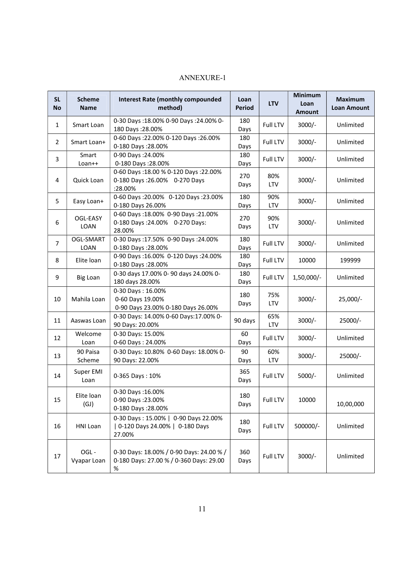### ANNEXURE-1

| <b>SL</b><br><b>No</b> | <b>Scheme</b><br><b>Name</b> | <b>Interest Rate (monthly compounded</b><br>method)                                         | Loan<br><b>Period</b> | <b>LTV</b> | <b>Minimum</b><br>Loan<br><b>Amount</b> | <b>Maximum</b><br><b>Loan Amount</b> |
|------------------------|------------------------------|---------------------------------------------------------------------------------------------|-----------------------|------------|-----------------------------------------|--------------------------------------|
| $\mathbf{1}$           | Smart Loan                   | 0-30 Days: 18.00% 0-90 Days: 24.00% 0-<br>180 Days: 28.00%                                  | 180<br>Days           | Full LTV   | $3000/-$                                | Unlimited                            |
| $\overline{2}$         | Smart Loan+                  | 0-60 Days: 22.00% 0-120 Days: 26.00%<br>0-180 Days: 28.00%                                  | 180<br>Days           | Full LTV   | $3000/-$                                | Unlimited                            |
| 3                      | Smart<br>Loan++              | 0-90 Days: 24.00%<br>0-180 Days: 28.00%                                                     | 180<br>Days           | Full LTV   | $3000/-$                                | Unlimited                            |
| 4                      | Quick Loan                   | 0-60 Days: 18.00 % 0-120 Days: 22.00%<br>0-180 Days: 26.00% 0-270 Days<br>:28.00%           | 270<br>Days           | 80%<br>LTV | $3000/-$                                | Unlimited                            |
| 5                      | Easy Loan+                   | 0-60 Days: 20.00% 0-120 Days: 23.00%<br>0-180 Days 26.00%                                   | 180<br>Days           | 90%<br>LTV | $3000/-$                                | Unlimited                            |
| 6                      | OGL-EASY<br>LOAN             | 0-60 Days: 18.00% 0-90 Days: 21.00%<br>0-180 Days: 24.00% 0-270 Days:<br>28.00%             | 270<br>Days           | 90%<br>LTV | 3000/-                                  | Unlimited                            |
| $\overline{7}$         | OGL-SMART<br>LOAN            | 0-30 Days: 17.50% 0-90 Days: 24.00%<br>0-180 Days: 28.00%                                   | 180<br>Days           | Full LTV   | $3000/-$                                | Unlimited                            |
| 8                      | Elite loan                   | 0-90 Days: 16.00% 0-120 Days: 24.00%<br>0-180 Days: 28.00%                                  | 180<br>Days           | Full LTV   | 10000                                   | 199999                               |
| 9                      | <b>Big Loan</b>              | 0-30 days 17.00% 0- 90 days 24.00% 0-<br>180 days 28.00%                                    | 180<br>Days           | Full LTV   | 1,50,000/-                              | Unlimited                            |
| 10                     | Mahila Loan                  | 0-30 Days: 16.00%<br>0-60 Days 19.00%<br>0-90 Days 23.00% 0-180 Days 26.00%                 | 180<br>Days           | 75%<br>LTV | $3000/-$                                | $25,000/-$                           |
| 11                     | Aaswas Loan                  | 0-30 Days: 14.00% 0-60 Days:17.00% 0-<br>90 Days: 20.00%                                    | 90 days               | 65%<br>LTV | $3000/-$                                | 25000/-                              |
| 12                     | Welcome<br>Loan              | 0-30 Days: 15.00%<br>0-60 Days: 24.00%                                                      | 60<br>Days            | Full LTV   | $3000/-$                                | Unlimited                            |
| 13                     | 90 Paisa<br>Scheme           | 0-30 Days: 10.80% 0-60 Days: 18.00% 0-<br>90 Days: 22.00%                                   | 90<br>Days            | 60%<br>LTV | $3000/-$                                | 25000/-                              |
| 14                     | Super EMI<br>Loan            | 0-365 Days: 10%                                                                             | 365<br>Days           | Full LTV   | $5000/-$                                | Unlimited                            |
| 15                     | Elite loan<br>(GJ)           | 0-30 Days: 16.00%<br>0-90 Days: 23.00%<br>0-180 Days: 28.00%                                | 180<br>Days           | Full LTV   | 10000                                   | 10,00,000                            |
| 16                     | HNI Loan                     | 0-30 Days: 15.00%   0-90 Days 22.00%<br>  0-120 Days 24.00%   0-180 Days<br>27.00%          | 180<br>Days           | Full LTV   | 500000/-                                | Unlimited                            |
| 17                     | OGL-<br>Vyapar Loan          | 0-30 Days: 18.00% / 0-90 Days: 24.00 % /<br>0-180 Days: 27.00 % / 0-360 Days: 29.00<br>$\%$ | 360<br>Days           | Full LTV   | $3000/-$                                | Unlimited                            |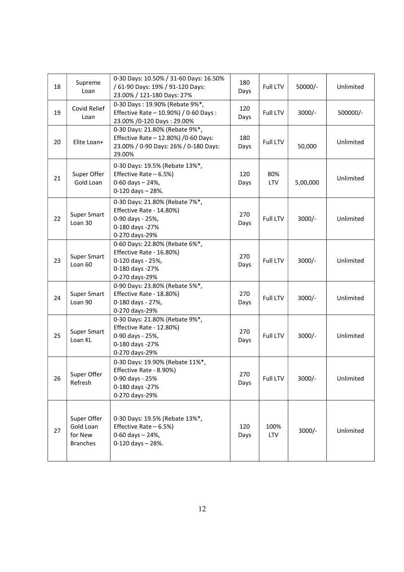| 18 | Supreme<br>Loan                                        | 0-30 Days: 10.50% / 31-60 Days: 16.50%<br>/ 61-90 Days: 19% / 91-120 Days:<br>23.00% / 121-180 Days: 27%                   | 180<br>Days | <b>Full LTV</b> | $50000/-$ | Unlimited |
|----|--------------------------------------------------------|----------------------------------------------------------------------------------------------------------------------------|-------------|-----------------|-----------|-----------|
| 19 | Covid Relief<br>Loan                                   | 0-30 Days: 19.90% (Rebate 9%*,<br>Effective Rate - 10.90%) / 0-60 Days :<br>23.00% / 0-120 Days: 29.00%                    | 120<br>Days | <b>Full LTV</b> | $3000/-$  | 500000/-  |
| 20 | Elite Loan+                                            | 0-30 Days: 21.80% (Rebate 9%*,<br>Effective Rate - 12.80%) / 0-60 Days:<br>23.00% / 0-90 Days: 26% / 0-180 Days:<br>29.00% | 180<br>Days | Full LTV        | 50,000    | Unlimited |
| 21 | Super Offer<br>Gold Loan                               | 0-30 Days: 19.5% (Rebate 13%*,<br>Effective Rate $-6.5%$ )<br>0-60 days - 24%,<br>0-120 days - 28%.                        | 120<br>Days | 80%<br>LTV      | 5,00,000  | Unlimited |
| 22 | <b>Super Smart</b><br>Loan 30                          | 0-30 Days: 21.80% (Rebate 7%*,<br>Effective Rate - 14.80%)<br>0-90 days - 25%,<br>0-180 days -27%<br>0-270 days-29%        | 270<br>Days | <b>Full LTV</b> | $3000/-$  | Unlimited |
| 23 | <b>Super Smart</b><br>Loan 60                          | 0-60 Days: 22.80% (Rebate 6%*,<br>Effective Rate - 16.80%)<br>0-120 days - 25%,<br>0-180 days -27%<br>0-270 days-29%       | 270<br>Days | <b>Full LTV</b> | $3000/-$  | Unlimited |
| 24 | <b>Super Smart</b><br>Loan 90                          | 0-90 Days: 23.80% (Rebate 5%*,<br>Effective Rate - 18.80%)<br>0-180 days - 27%,<br>0-270 days-29%                          | 270<br>Days | Full LTV        | $3000/-$  | Unlimited |
| 25 | <b>Super Smart</b><br>Loan KL                          | 0-30 Days: 21.80% (Rebate 9%*,<br>Effective Rate - 12.80%)<br>0-90 days - 25%,<br>0-180 days -27%<br>0-270 days-29%        | 270<br>Days | <b>Full LTV</b> | $3000/-$  | Unlimited |
| 26 | Super Offer<br>Refresh                                 | 0-30 Days: 19.90% (Rebate 11%*,<br>Effective Rate - 8.90%)<br>0-90 days - 25%<br>0-180 days -27%<br>0-270 days-29%         | 270<br>Days | Full LTV        | $3000/-$  | Unlimited |
| 27 | Super Offer<br>Gold Loan<br>for New<br><b>Branches</b> | 0-30 Days: 19.5% (Rebate 13%*,<br>Effective Rate $-6.5%$<br>0-60 days - 24%,<br>$0-120$ days $-28%$ .                      | 120<br>Days | 100%<br>LTV     | $3000/-$  | Unlimited |